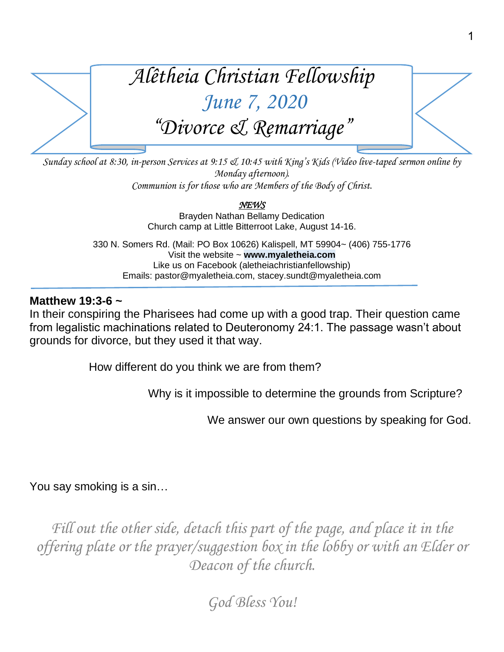

*Sunday school at 8:30, in-person Services at 9:15 & 10:45 with King's Kids (Video live-taped sermon online by Monday afternoon). Communion is for those who are Members of the Body of Christ.*

> *NEWS*  Brayden Nathan Bellamy Dedication Church camp at Little Bitterroot Lake, August 14-16.

330 N. Somers Rd. (Mail: PO Box 10626) Kalispell, MT 59904~ (406) 755-1776 Visit the website ~ **www.myaletheia.com** Like us on Facebook (aletheiachristianfellowship) Emails: pastor@myaletheia.com, stacey.sundt@myaletheia.com

## **Matthew 19:3-6 ~**

In their conspiring the Pharisees had come up with a good trap. Their question came from legalistic machinations related to Deuteronomy 24:1. The passage wasn't about grounds for divorce, but they used it that way.

How different do you think we are from them?

Why is it impossible to determine the grounds from Scripture?

We answer our own questions by speaking for God.

You say smoking is a sin…

Fill out the other side, detach this part of the page, and place it in the *offering plate or the prayer/suggestion box in the lobby or with an Elder or Deacon of the church.*

*God Bless You!*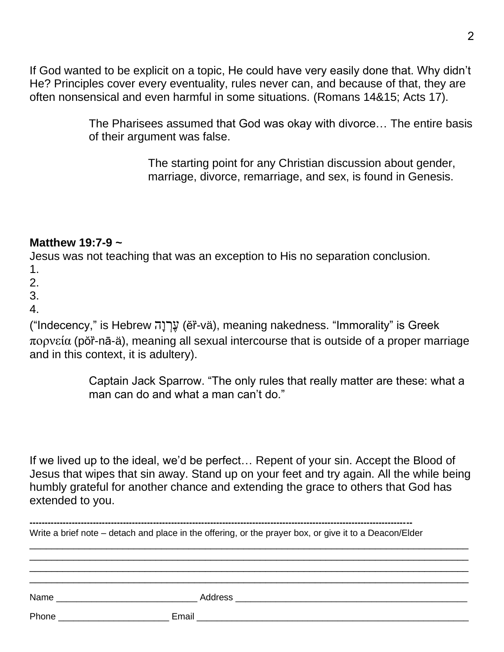If God wanted to be explicit on a topic, He could have very easily done that. Why didn't He? Principles cover every eventuality, rules never can, and because of that, they are often nonsensical and even harmful in some situations. (Romans 14&15; Acts 17).

> The Pharisees assumed that God was okay with divorce… The entire basis of their argument was false.

> > The starting point for any Christian discussion about gender, marriage, divorce, remarriage, and sex, is found in Genesis.

## **Matthew 19:7-9 ~**

Jesus was not teaching that was an exception to His no separation conclusion.

- 1.
- 2.
- 3.
- 4.

("Indecency," is Hebrew עֲרָנָה (ĕr̃-vä), meaning nakedness. "Immorality" is Greek  $\pi$ ορνεία (pŏr̃-nā-ä), meaning all sexual intercourse that is outside of a proper marriage and in this context, it is adultery).

> Captain Jack Sparrow. "The only rules that really matter are these: what a man can do and what a man can't do."

If we lived up to the ideal, we'd be perfect… Repent of your sin. Accept the Blood of Jesus that wipes that sin away. Stand up on your feet and try again. All the while being humbly grateful for another chance and extending the grace to others that God has extended to you.

| Write a brief note – detach and place in the offering, or the prayer box, or give it to a Deacon/Elder |                                                                                                                                                                                                                                |  |
|--------------------------------------------------------------------------------------------------------|--------------------------------------------------------------------------------------------------------------------------------------------------------------------------------------------------------------------------------|--|
|                                                                                                        |                                                                                                                                                                                                                                |  |
|                                                                                                        |                                                                                                                                                                                                                                |  |
|                                                                                                        |                                                                                                                                                                                                                                |  |
|                                                                                                        | Name and the state of the state of the state of the state of the state of the state of the state of the state of the state of the state of the state of the state of the state of the state of the state of the state of the s |  |
|                                                                                                        |                                                                                                                                                                                                                                |  |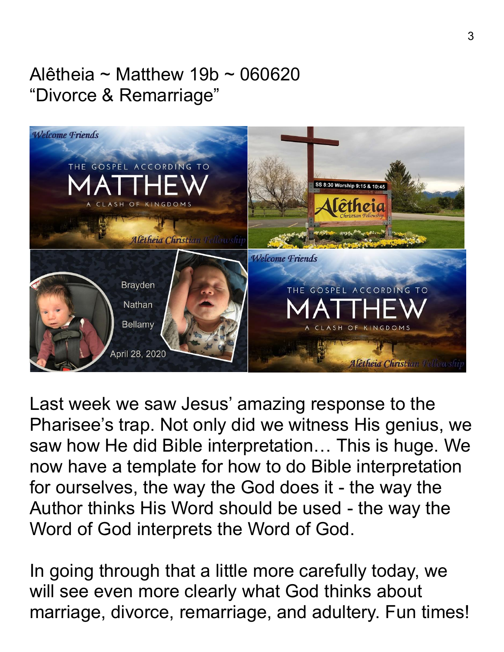## Alêtheia ~ Matthew 19b ~ 060620 "Divorce & Remarriage"



Last week we saw Jesus' amazing response to the Pharisee's trap. Not only did we witness His genius, we saw how He did Bible interpretation… This is huge. We now have a template for how to do Bible interpretation for ourselves, the way the God does it - the way the Author thinks His Word should be used - the way the Word of God interprets the Word of God.

In going through that a little more carefully today, we will see even more clearly what God thinks about marriage, divorce, remarriage, and adultery. Fun times!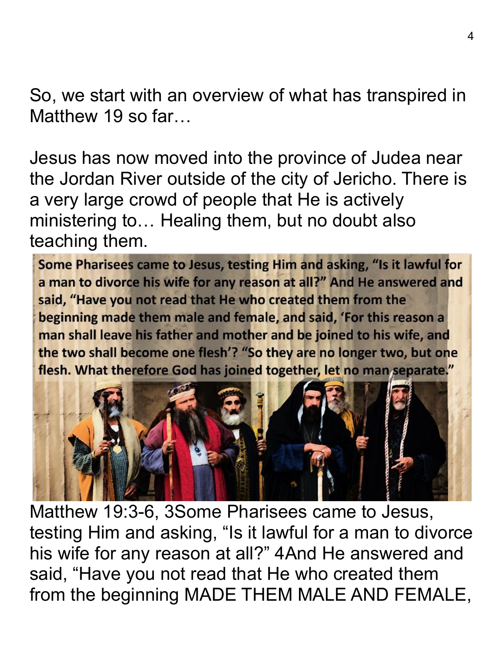So, we start with an overview of what has transpired in Matthew 19 so far...

Jesus has now moved into the province of Judea near the Jordan River outside of the city of Jericho. There is a very large crowd of people that He is actively ministering to… Healing them, but no doubt also teaching them.

Some Pharisees came to Jesus, testing Him and asking, "Is it lawful for a man to divorce his wife for any reason at all?" And He answered and said, "Have you not read that He who created them from the beginning made them male and female, and said, 'For this reason a man shall leave his father and mother and be joined to his wife, and the two shall become one flesh'? "So they are no longer two, but one flesh. What therefore God has joined together, let no man separate."



Matthew 19:3-6, 3Some Pharisees came to Jesus, testing Him and asking, "Is it lawful for a man to divorce his wife for any reason at all?" 4And He answered and said, "Have you not read that He who created them from the beginning MADE THEM MALE AND FEMALE,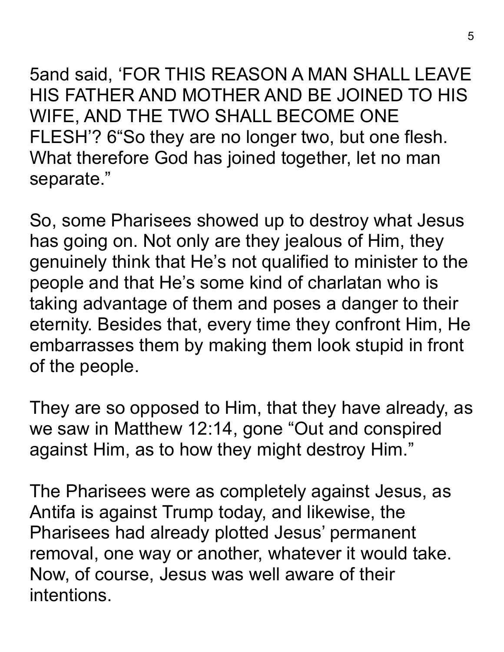5and said, 'FOR THIS REASON A MAN SHALL LEAVE HIS FATHER AND MOTHER AND BE JOINED TO HIS WIFE, AND THE TWO SHALL BECOME ONE FLESH'? 6"So they are no longer two, but one flesh. What therefore God has joined together, let no man separate."

So, some Pharisees showed up to destroy what Jesus has going on. Not only are they jealous of Him, they genuinely think that He's not qualified to minister to the people and that He's some kind of charlatan who is taking advantage of them and poses a danger to their eternity. Besides that, every time they confront Him, He embarrasses them by making them look stupid in front of the people.

They are so opposed to Him, that they have already, as we saw in Matthew 12:14, gone "Out and conspired against Him, as to how they might destroy Him."

The Pharisees were as completely against Jesus, as Antifa is against Trump today, and likewise, the Pharisees had already plotted Jesus' permanent removal, one way or another, whatever it would take. Now, of course, Jesus was well aware of their intentions.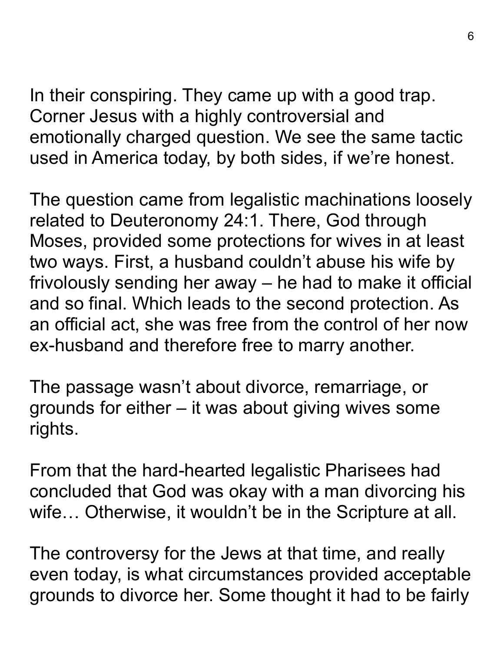In their conspiring. They came up with a good trap. Corner Jesus with a highly controversial and emotionally charged question. We see the same tactic used in America today, by both sides, if we're honest.

The question came from legalistic machinations loosely related to Deuteronomy 24:1. There, God through Moses, provided some protections for wives in at least two ways. First, a husband couldn't abuse his wife by frivolously sending her away – he had to make it official and so final. Which leads to the second protection. As an official act, she was free from the control of her now ex-husband and therefore free to marry another.

The passage wasn't about divorce, remarriage, or grounds for either – it was about giving wives some rights.

From that the hard-hearted legalistic Pharisees had concluded that God was okay with a man divorcing his wife… Otherwise, it wouldn't be in the Scripture at all.

The controversy for the Jews at that time, and really even today, is what circumstances provided acceptable grounds to divorce her. Some thought it had to be fairly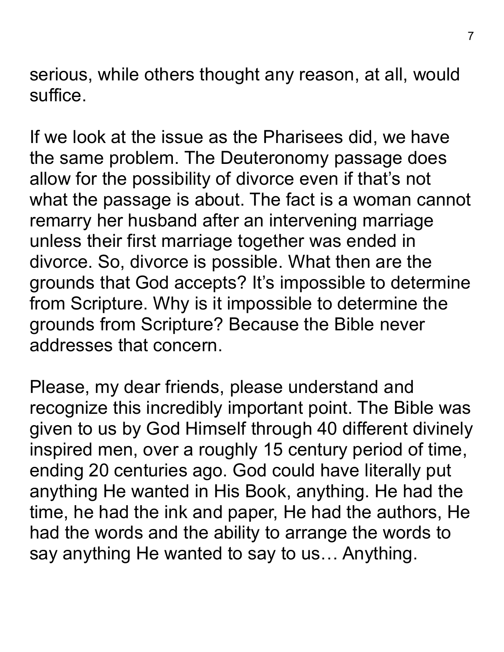serious, while others thought any reason, at all, would suffice.

If we look at the issue as the Pharisees did, we have the same problem. The Deuteronomy passage does allow for the possibility of divorce even if that's not what the passage is about. The fact is a woman cannot remarry her husband after an intervening marriage unless their first marriage together was ended in divorce. So, divorce is possible. What then are the grounds that God accepts? It's impossible to determine from Scripture. Why is it impossible to determine the grounds from Scripture? Because the Bible never addresses that concern.

Please, my dear friends, please understand and recognize this incredibly important point. The Bible was given to us by God Himself through 40 different divinely inspired men, over a roughly 15 century period of time, ending 20 centuries ago. God could have literally put anything He wanted in His Book, anything. He had the time, he had the ink and paper, He had the authors, He had the words and the ability to arrange the words to say anything He wanted to say to us… Anything.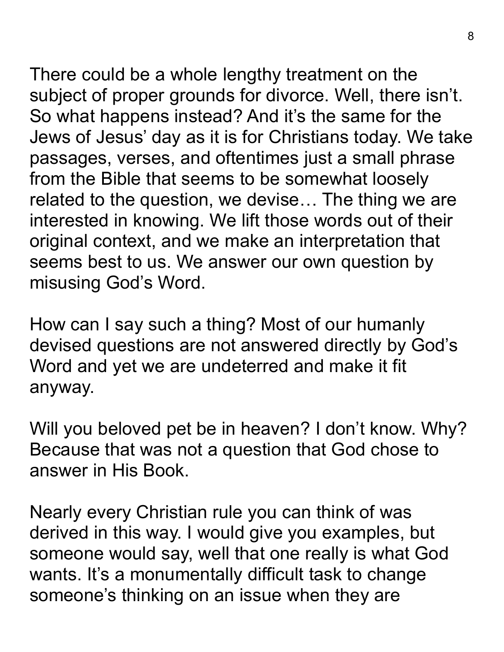There could be a whole lengthy treatment on the subject of proper grounds for divorce. Well, there isn't. So what happens instead? And it's the same for the Jews of Jesus' day as it is for Christians today. We take passages, verses, and oftentimes just a small phrase from the Bible that seems to be somewhat loosely related to the question, we devise… The thing we are interested in knowing. We lift those words out of their original context, and we make an interpretation that seems best to us. We answer our own question by misusing God's Word.

How can I say such a thing? Most of our humanly devised questions are not answered directly by God's Word and yet we are undeterred and make it fit anyway.

Will you beloved pet be in heaven? I don't know. Why? Because that was not a question that God chose to answer in His Book.

Nearly every Christian rule you can think of was derived in this way. I would give you examples, but someone would say, well that one really is what God wants. It's a monumentally difficult task to change someone's thinking on an issue when they are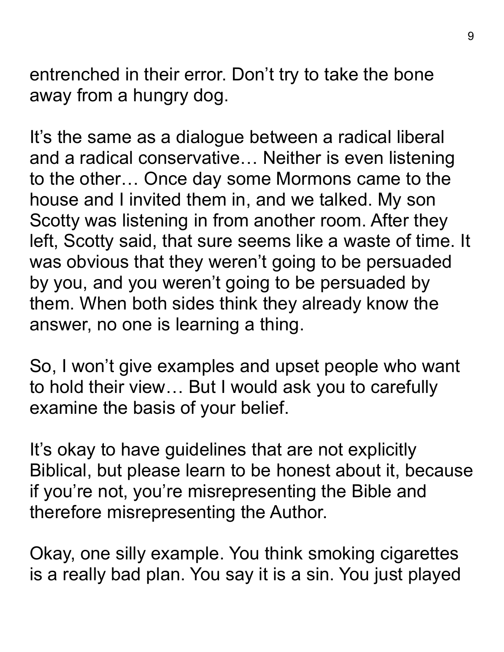entrenched in their error. Don't try to take the bone away from a hungry dog.

It's the same as a dialogue between a radical liberal and a radical conservative… Neither is even listening to the other… Once day some Mormons came to the house and I invited them in, and we talked. My son Scotty was listening in from another room. After they left, Scotty said, that sure seems like a waste of time. It was obvious that they weren't going to be persuaded by you, and you weren't going to be persuaded by them. When both sides think they already know the answer, no one is learning a thing.

So, I won't give examples and upset people who want to hold their view… But I would ask you to carefully examine the basis of your belief.

It's okay to have guidelines that are not explicitly Biblical, but please learn to be honest about it, because if you're not, you're misrepresenting the Bible and therefore misrepresenting the Author.

Okay, one silly example. You think smoking cigarettes is a really bad plan. You say it is a sin. You just played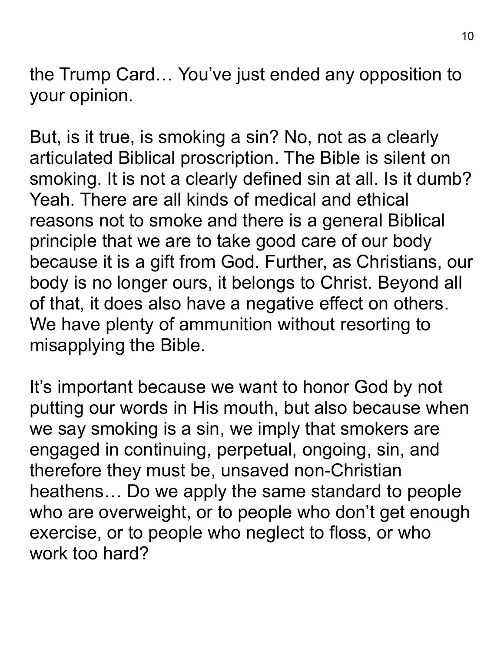the Trump Card… You've just ended any opposition to your opinion.

But, is it true, is smoking a sin? No, not as a clearly articulated Biblical proscription. The Bible is silent on smoking. It is not a clearly defined sin at all. Is it dumb? Yeah. There are all kinds of medical and ethical reasons not to smoke and there is a general Biblical principle that we are to take good care of our body because it is a gift from God. Further, as Christians, our body is no longer ours, it belongs to Christ. Beyond all of that, it does also have a negative effect on others. We have plenty of ammunition without resorting to misapplying the Bible.

It's important because we want to honor God by not putting our words in His mouth, but also because when we say smoking is a sin, we imply that smokers are engaged in continuing, perpetual, ongoing, sin, and therefore they must be, unsaved non-Christian heathens… Do we apply the same standard to people who are overweight, or to people who don't get enough exercise, or to people who neglect to floss, or who work too hard?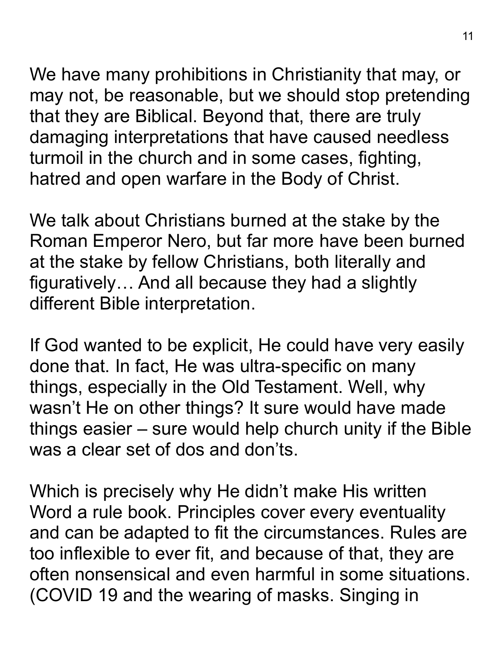We have many prohibitions in Christianity that may, or may not, be reasonable, but we should stop pretending that they are Biblical. Beyond that, there are truly damaging interpretations that have caused needless turmoil in the church and in some cases, fighting, hatred and open warfare in the Body of Christ.

We talk about Christians burned at the stake by the Roman Emperor Nero, but far more have been burned at the stake by fellow Christians, both literally and figuratively… And all because they had a slightly different Bible interpretation.

If God wanted to be explicit, He could have very easily done that. In fact, He was ultra-specific on many things, especially in the Old Testament. Well, why wasn't He on other things? It sure would have made things easier – sure would help church unity if the Bible was a clear set of dos and don'ts.

Which is precisely why He didn't make His written Word a rule book. Principles cover every eventuality and can be adapted to fit the circumstances. Rules are too inflexible to ever fit, and because of that, they are often nonsensical and even harmful in some situations. (COVID 19 and the wearing of masks. Singing in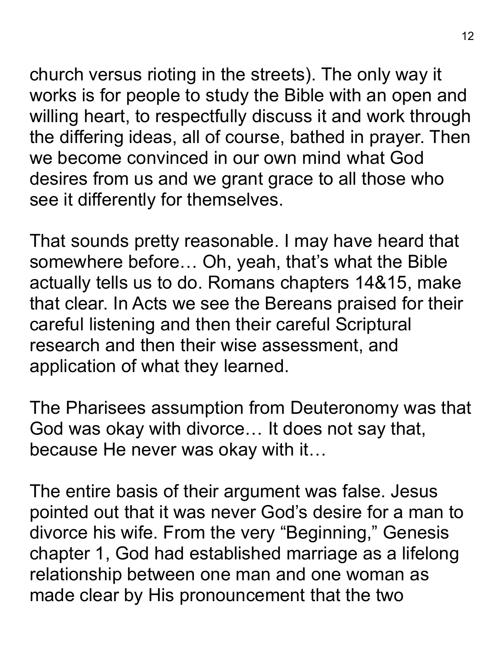church versus rioting in the streets). The only way it works is for people to study the Bible with an open and willing heart, to respectfully discuss it and work through the differing ideas, all of course, bathed in prayer. Then we become convinced in our own mind what God desires from us and we grant grace to all those who see it differently for themselves.

That sounds pretty reasonable. I may have heard that somewhere before… Oh, yeah, that's what the Bible actually tells us to do. Romans chapters 14&15, make that clear. In Acts we see the Bereans praised for their careful listening and then their careful Scriptural research and then their wise assessment, and application of what they learned.

The Pharisees assumption from Deuteronomy was that God was okay with divorce… It does not say that, because He never was okay with it…

The entire basis of their argument was false. Jesus pointed out that it was never God's desire for a man to divorce his wife. From the very "Beginning," Genesis chapter 1, God had established marriage as a lifelong relationship between one man and one woman as made clear by His pronouncement that the two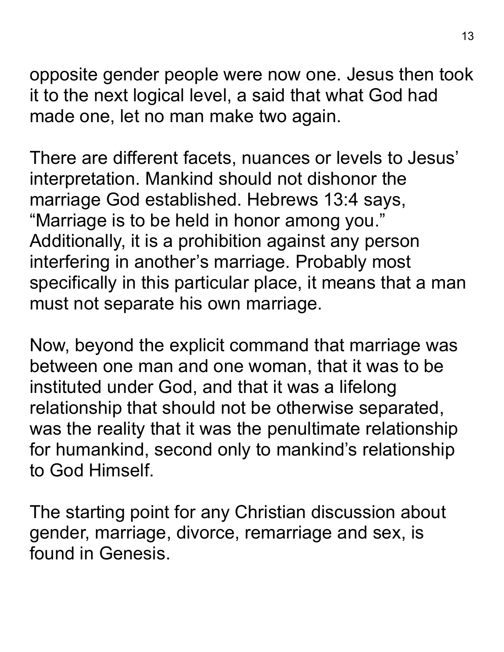opposite gender people were now one. Jesus then took it to the next logical level, a said that what God had made one, let no man make two again.

There are different facets, nuances or levels to Jesus' interpretation. Mankind should not dishonor the marriage God established. Hebrews 13:4 says, "Marriage is to be held in honor among you." Additionally, it is a prohibition against any person interfering in another's marriage. Probably most specifically in this particular place, it means that a man must not separate his own marriage.

Now, beyond the explicit command that marriage was between one man and one woman, that it was to be instituted under God, and that it was a lifelong relationship that should not be otherwise separated, was the reality that it was the penultimate relationship for humankind, second only to mankind's relationship to God Himself.

The starting point for any Christian discussion about gender, marriage, divorce, remarriage and sex, is found in Genesis.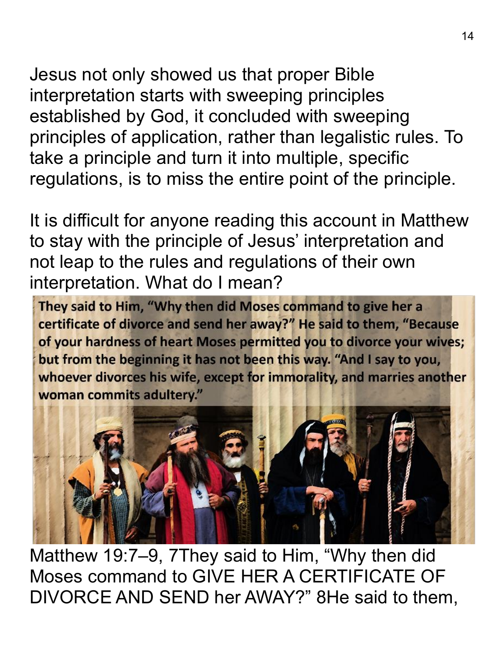Jesus not only showed us that proper Bible interpretation starts with sweeping principles established by God, it concluded with sweeping principles of application, rather than legalistic rules. To take a principle and turn it into multiple, specific regulations, is to miss the entire point of the principle.

It is difficult for anyone reading this account in Matthew to stay with the principle of Jesus' interpretation and not leap to the rules and regulations of their own interpretation. What do I mean?

They said to Him, "Why then did Moses command to give her a certificate of divorce and send her away?" He said to them, "Because of your hardness of heart Moses permitted you to divorce your wives; but from the beginning it has not been this way. "And I say to you, whoever divorces his wife, except for immorality, and marries another woman commits adultery."



Matthew 19:7–9, 7They said to Him, "Why then did Moses command to GIVE HER A CERTIFICATE OF DIVORCE AND SEND her AWAY?" 8He said to them,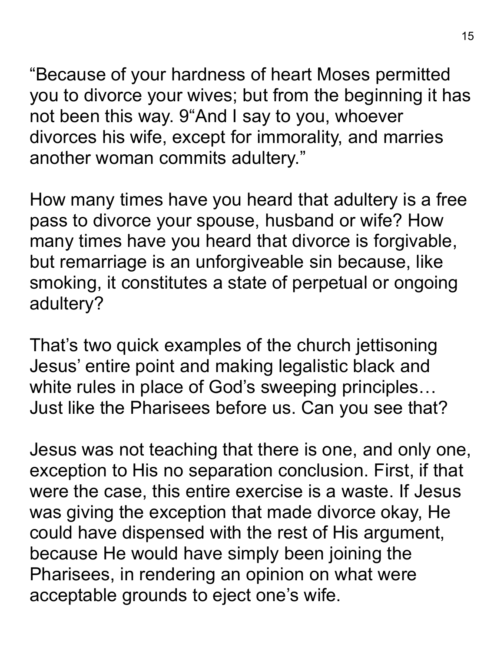"Because of your hardness of heart Moses permitted you to divorce your wives; but from the beginning it has not been this way. 9"And I say to you, whoever divorces his wife, except for immorality, and marries another woman commits adultery."

How many times have you heard that adultery is a free pass to divorce your spouse, husband or wife? How many times have you heard that divorce is forgivable, but remarriage is an unforgiveable sin because, like smoking, it constitutes a state of perpetual or ongoing adultery?

That's two quick examples of the church jettisoning Jesus' entire point and making legalistic black and white rules in place of God's sweeping principles… Just like the Pharisees before us. Can you see that?

Jesus was not teaching that there is one, and only one, exception to His no separation conclusion. First, if that were the case, this entire exercise is a waste. If Jesus was giving the exception that made divorce okay, He could have dispensed with the rest of His argument, because He would have simply been joining the Pharisees, in rendering an opinion on what were acceptable grounds to eject one's wife.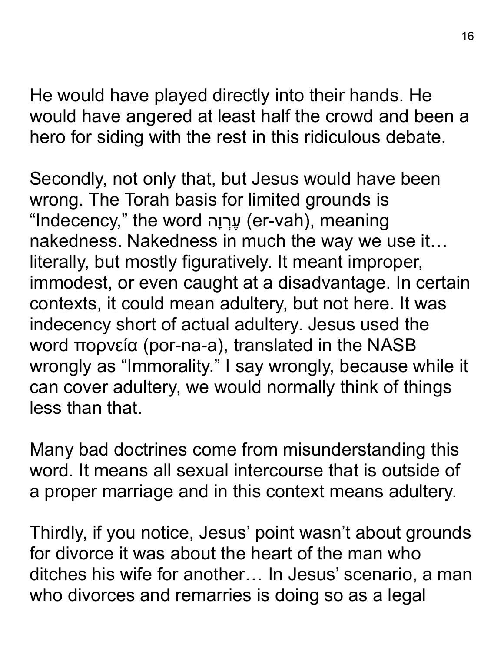He would have played directly into their hands. He would have angered at least half the crowd and been a hero for siding with the rest in this ridiculous debate.

Secondly, not only that, but Jesus would have been wrong. The Torah basis for limited grounds is "Indecency," the word עֲרְוָה (er-vah), meaning nakedness. Nakedness in much the way we use it… literally, but mostly figuratively. It meant improper, immodest, or even caught at a disadvantage. In certain contexts, it could mean adultery, but not here. It was indecency short of actual adultery. Jesus used the word πορνεία (por-na-a), translated in the NASB wrongly as "Immorality." I say wrongly, because while it can cover adultery, we would normally think of things less than that.

Many bad doctrines come from misunderstanding this word. It means all sexual intercourse that is outside of a proper marriage and in this context means adultery.

Thirdly, if you notice, Jesus' point wasn't about grounds for divorce it was about the heart of the man who ditches his wife for another… In Jesus' scenario, a man who divorces and remarries is doing so as a legal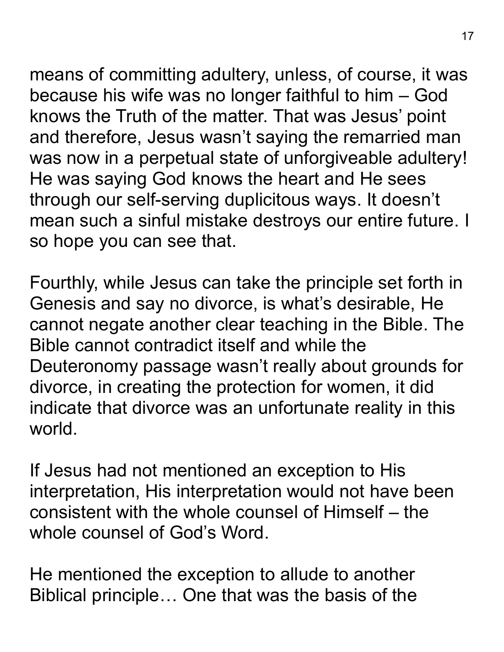means of committing adultery, unless, of course, it was because his wife was no longer faithful to him – God knows the Truth of the matter. That was Jesus' point and therefore, Jesus wasn't saying the remarried man was now in a perpetual state of unforgiveable adultery! He was saying God knows the heart and He sees through our self-serving duplicitous ways. It doesn't mean such a sinful mistake destroys our entire future. I so hope you can see that.

Fourthly, while Jesus can take the principle set forth in Genesis and say no divorce, is what's desirable, He cannot negate another clear teaching in the Bible. The Bible cannot contradict itself and while the Deuteronomy passage wasn't really about grounds for divorce, in creating the protection for women, it did indicate that divorce was an unfortunate reality in this world.

If Jesus had not mentioned an exception to His interpretation, His interpretation would not have been consistent with the whole counsel of Himself – the whole counsel of God's Word.

He mentioned the exception to allude to another Biblical principle… One that was the basis of the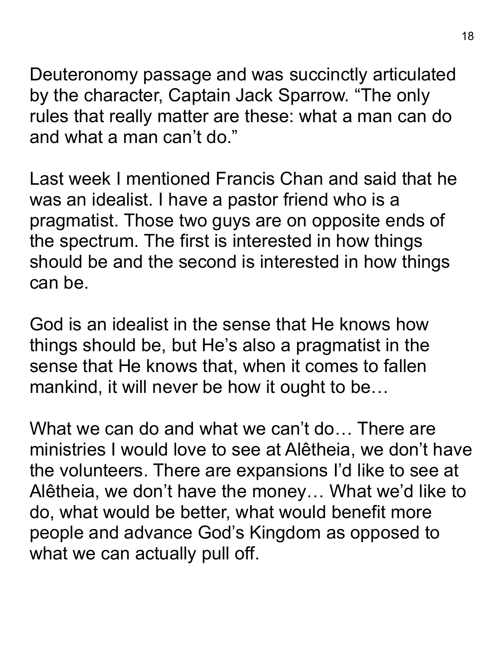Deuteronomy passage and was succinctly articulated by the character, Captain Jack Sparrow. "The only rules that really matter are these: what a man can do and what a man can't do."

Last week I mentioned Francis Chan and said that he was an idealist. I have a pastor friend who is a pragmatist. Those two guys are on opposite ends of the spectrum. The first is interested in how things should be and the second is interested in how things can be.

God is an idealist in the sense that He knows how things should be, but He's also a pragmatist in the sense that He knows that, when it comes to fallen mankind, it will never be how it ought to be…

What we can do and what we can't do... There are ministries I would love to see at Alêtheia, we don't have the volunteers. There are expansions I'd like to see at Alêtheia, we don't have the money… What we'd like to do, what would be better, what would benefit more people and advance God's Kingdom as opposed to what we can actually pull off.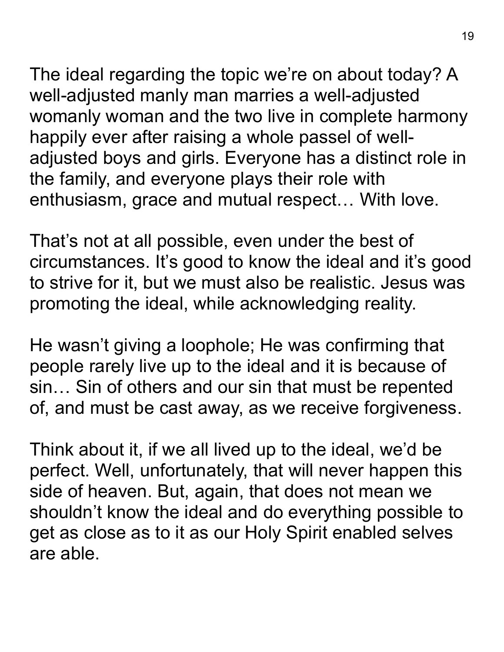The ideal regarding the topic we're on about today? A well-adjusted manly man marries a well-adjusted womanly woman and the two live in complete harmony happily ever after raising a whole passel of welladjusted boys and girls. Everyone has a distinct role in the family, and everyone plays their role with enthusiasm, grace and mutual respect… With love.

That's not at all possible, even under the best of circumstances. It's good to know the ideal and it's good to strive for it, but we must also be realistic. Jesus was promoting the ideal, while acknowledging reality.

He wasn't giving a loophole; He was confirming that people rarely live up to the ideal and it is because of sin… Sin of others and our sin that must be repented of, and must be cast away, as we receive forgiveness.

Think about it, if we all lived up to the ideal, we'd be perfect. Well, unfortunately, that will never happen this side of heaven. But, again, that does not mean we shouldn't know the ideal and do everything possible to get as close as to it as our Holy Spirit enabled selves are able.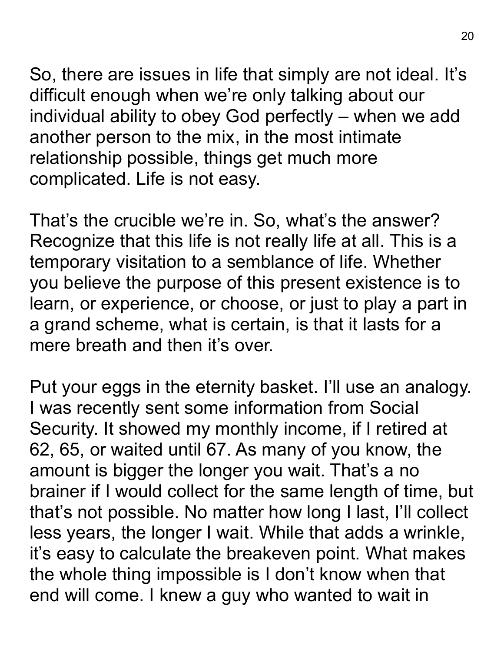So, there are issues in life that simply are not ideal. It's difficult enough when we're only talking about our individual ability to obey God perfectly – when we add another person to the mix, in the most intimate relationship possible, things get much more complicated. Life is not easy.

That's the crucible we're in. So, what's the answer? Recognize that this life is not really life at all. This is a temporary visitation to a semblance of life. Whether you believe the purpose of this present existence is to learn, or experience, or choose, or just to play a part in a grand scheme, what is certain, is that it lasts for a mere breath and then it's over.

Put your eggs in the eternity basket. I'll use an analogy. I was recently sent some information from Social Security. It showed my monthly income, if I retired at 62, 65, or waited until 67. As many of you know, the amount is bigger the longer you wait. That's a no brainer if I would collect for the same length of time, but that's not possible. No matter how long I last, I'll collect less years, the longer I wait. While that adds a wrinkle, it's easy to calculate the breakeven point. What makes the whole thing impossible is I don't know when that end will come. I knew a guy who wanted to wait in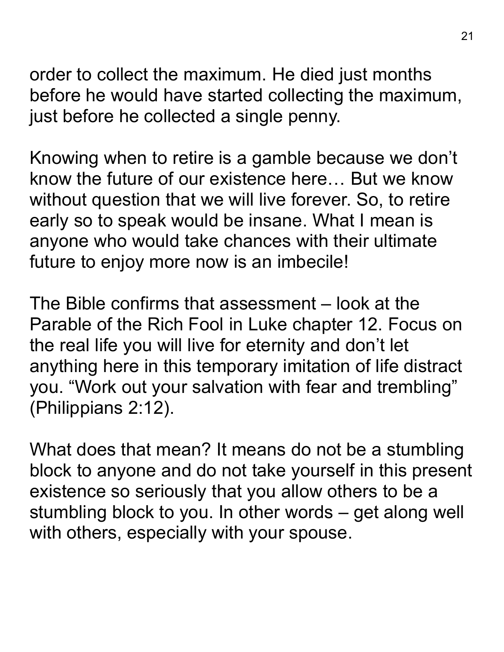order to collect the maximum. He died just months before he would have started collecting the maximum, just before he collected a single penny.

Knowing when to retire is a gamble because we don't know the future of our existence here… But we know without question that we will live forever. So, to retire early so to speak would be insane. What I mean is anyone who would take chances with their ultimate future to enjoy more now is an imbecile!

The Bible confirms that assessment – look at the Parable of the Rich Fool in Luke chapter 12. Focus on the real life you will live for eternity and don't let anything here in this temporary imitation of life distract you. "Work out your salvation with fear and trembling" (Philippians 2:12).

What does that mean? It means do not be a stumbling block to anyone and do not take yourself in this present existence so seriously that you allow others to be a stumbling block to you. In other words – get along well with others, especially with your spouse.